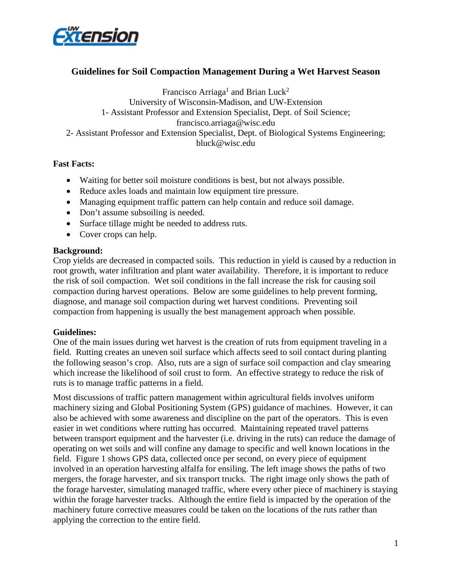

## **Guidelines for Soil Compaction Management During a Wet Harvest Season**

Francisco Arriaga<sup>1</sup> and Brian Luck<sup>2</sup> University of Wisconsin-Madison, and UW-Extension 1- Assistant Professor and Extension Specialist, Dept. of Soil Science; francisco.arriaga@wisc.edu 2- Assistant Professor and Extension Specialist, Dept. of Biological Systems Engineering; bluck@wisc.edu

## **Fast Facts:**

- Waiting for better soil moisture conditions is best, but not always possible.
- Reduce axles loads and maintain low equipment tire pressure.
- Managing equipment traffic pattern can help contain and reduce soil damage.
- Don't assume subsoiling is needed.
- Surface tillage might be needed to address ruts.
- Cover crops can help.

## **Background:**

Crop yields are decreased in compacted soils. This reduction in yield is caused by a reduction in root growth, water infiltration and plant water availability. Therefore, it is important to reduce the risk of soil compaction. Wet soil conditions in the fall increase the risk for causing soil compaction during harvest operations. Below are some guidelines to help prevent forming, diagnose, and manage soil compaction during wet harvest conditions. Preventing soil compaction from happening is usually the best management approach when possible.

## **Guidelines:**

One of the main issues during wet harvest is the creation of ruts from equipment traveling in a field. Rutting creates an uneven soil surface which affects seed to soil contact during planting the following season's crop. Also, ruts are a sign of surface soil compaction and clay smearing which increase the likelihood of soil crust to form. An effective strategy to reduce the risk of ruts is to manage traffic patterns in a field.

Most discussions of traffic pattern management within agricultural fields involves uniform machinery sizing and Global Positioning System (GPS) guidance of machines. However, it can also be achieved with some awareness and discipline on the part of the operators. This is even easier in wet conditions where rutting has occurred. Maintaining repeated travel patterns between transport equipment and the harvester (i.e. driving in the ruts) can reduce the damage of operating on wet soils and will confine any damage to specific and well known locations in the field. Figure 1 shows GPS data, collected once per second, on every piece of equipment involved in an operation harvesting alfalfa for ensiling. The left image shows the paths of two mergers, the forage harvester, and six transport trucks. The right image only shows the path of the forage harvester, simulating managed traffic, where every other piece of machinery is staying within the forage harvester tracks. Although the entire field is impacted by the operation of the machinery future corrective measures could be taken on the locations of the ruts rather than applying the correction to the entire field.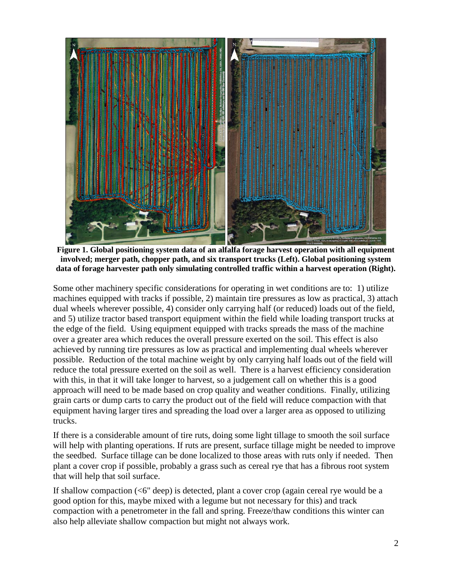

**Figure 1. Global positioning system data of an alfalfa forage harvest operation with all equipment involved; merger path, chopper path, and six transport trucks (Left). Global positioning system data of forage harvester path only simulating controlled traffic within a harvest operation (Right).**

Some other machinery specific considerations for operating in wet conditions are to: 1) utilize machines equipped with tracks if possible, 2) maintain tire pressures as low as practical, 3) attach dual wheels wherever possible, 4) consider only carrying half (or reduced) loads out of the field, and 5) utilize tractor based transport equipment within the field while loading transport trucks at the edge of the field. Using equipment equipped with tracks spreads the mass of the machine over a greater area which reduces the overall pressure exerted on the soil. This effect is also achieved by running tire pressures as low as practical and implementing dual wheels wherever possible. Reduction of the total machine weight by only carrying half loads out of the field will reduce the total pressure exerted on the soil as well. There is a harvest efficiency consideration with this, in that it will take longer to harvest, so a judgement call on whether this is a good approach will need to be made based on crop quality and weather conditions. Finally, utilizing grain carts or dump carts to carry the product out of the field will reduce compaction with that equipment having larger tires and spreading the load over a larger area as opposed to utilizing trucks.

If there is a considerable amount of tire ruts, doing some light tillage to smooth the soil surface will help with planting operations. If ruts are present, surface tillage might be needed to improve the seedbed. Surface tillage can be done localized to those areas with ruts only if needed. Then plant a cover crop if possible, probably a grass such as cereal rye that has a fibrous root system that will help that soil surface.

If shallow compaction (<6" deep) is detected, plant a cover crop (again cereal rye would be a good option for this, maybe mixed with a legume but not necessary for this) and track compaction with a penetrometer in the fall and spring. Freeze/thaw conditions this winter can also help alleviate shallow compaction but might not always work.